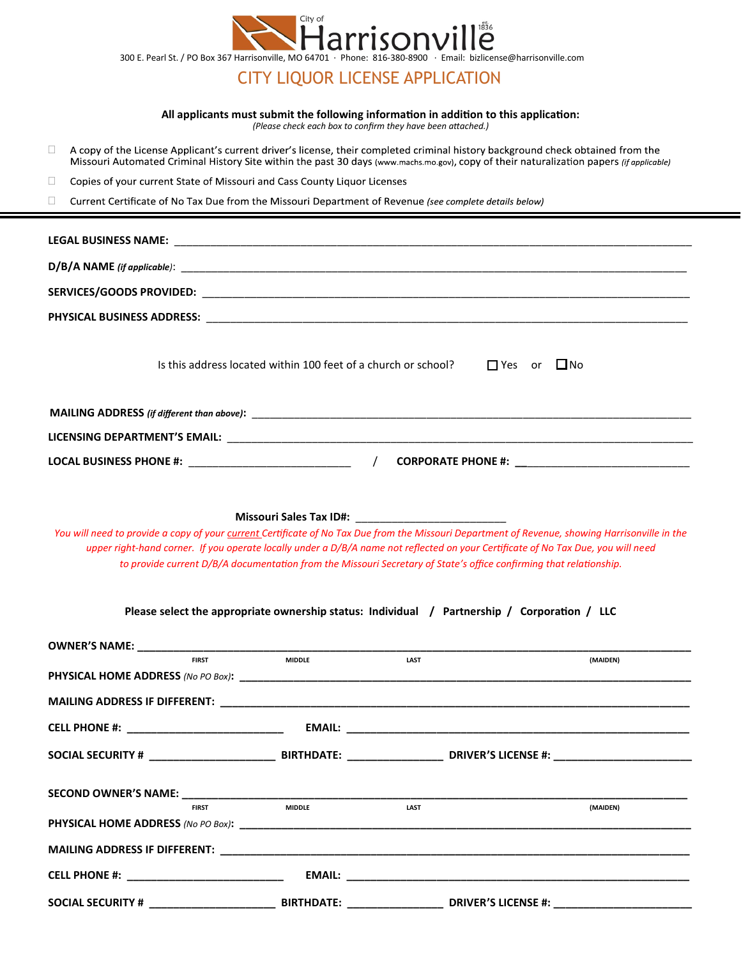

| OWNER'S NAME: ___________________________________  |              |               |             |          |  |
|----------------------------------------------------|--------------|---------------|-------------|----------|--|
|                                                    | <b>FIRST</b> | <b>MIDDLE</b> | <b>LAST</b> | (MAIDEN) |  |
|                                                    |              |               |             |          |  |
|                                                    |              |               |             |          |  |
| <b>CELL PHONE #:</b> _____________________________ |              |               |             |          |  |
|                                                    |              |               |             |          |  |
|                                                    |              |               |             |          |  |
|                                                    | <b>FIRST</b> | <b>MIDDLE</b> | LAST        | (MAIDEN) |  |
|                                                    |              |               |             |          |  |
|                                                    |              |               |             |          |  |
|                                                    |              |               |             |          |  |